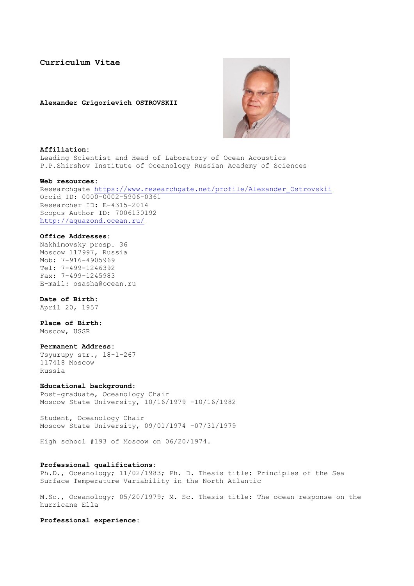# **Curriculum Vitae**

**Alexander Grigorievich OSTROVSKII**



#### **Affiliation:**

Leading Scientist and Head of Laboratory of Ocean Acoustics P.P.Shirshov Institute of Oceanology Russian Academy of Sciences

#### **Web resources:**

Researchgate [https://www.researchgate.net/profile/Alexander\\_Ostrovskii](https://www.researchgate.net/profile/Alexander_Ostrovskii) Orcid ID: 0000-0002-5906-0361 Researcher ID: E-4315-2014 Scopus Author ID: 7006130192 <http://aquazond.ocean.ru/>

## **Office Addresses:**

Nakhimovsky prosp. 36 Moscow 117997, Russia Mob: 7-916-4905969 Tel: 7-499-1246392 Fax: 7-499-1245983 E-mail: osasha@ocean.ru

# **Date of Birth:**

April 20, 1957

# **Place of Birth:**

Moscow, USSR

# **Permanent Address:**

Tsyurupy str., 18-1-267 117418 Moscow Russia

# **Educational background:**

Post-graduate, Oceanology Chair Moscow State University, 10/16/1979 –10/16/1982

Student, Oceanology Chair Moscow State University, 09/01/1974 –07/31/1979

High school #193 of Moscow on 06/20/1974.

# **Professional qualifications:**

Ph.D., Oceanology; 11/02/1983; Ph. D. Thesis title: Principles of the Sea Surface Temperature Variability in the North Atlantic

M.Sc., Oceanology; 05/20/1979; M. Sc. Thesis title: The ocean response on the hurricane Ella

**Professional experience:**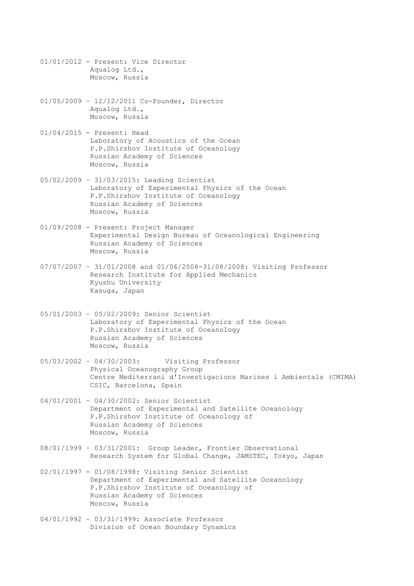- 01/01/2012 Present: Vice Director Aqualog Ltd., Moscow, Russia
- 01/05/2009 12/12/2011 Co-Founder, Director Aqualog Ltd., Moscow, Russia
- 01/04/2015 Present: Head Laboratory of Acoustics of the Ocean P.P.Shirshov Institute of Oceanology Russian Academy of Sciences Moscow, Russia
- 05/02/2009 31/03/2015: Leading Scientist Laboratory of Experimental Physics of the Ocean P.P.Shirshov Institute of Oceanology Russian Academy of Sciences Moscow, Russia
- 01/09/2008 Present: Project Manager Experimental Design Bureau of Oceanological Engineering Russian Academy of Sciences Moscow, Russia
- 07/07/2007 31/01/2008 and 01/06/2008-31/08/2008: Visiting Professor Research Institute for Applied Mechanics Kyushu University Kasuga, Japan
- 05/01/2003 05/02/2009: Senior Scientist Laboratory of Experimental Physics of the Ocean P.P.Shirshov Institute of Oceanology Russian Academy of Sciences Moscow, Russia
- 05/03/2002 04/30/2003: Visiting Professor Physical Oceanography Group Centre Mediterrani d'Investigacions Marines i Ambientals (CMIMA) CSIC, Barcelona, Spain
- 04/01/2001 04/30/2002: Senior Scientist Department of Experimental and Satellite Oceanology P.P.Shirshov Institute of Oceanology of Russian Academy of Sciences Moscow, Russia
- 08/01/1999 03/31/2001: Group Leader, Frontier Observational Research System for Global Change, JAMSTEC, Tokyo, Japan
- 02/01/1997 01/08/1998: Visiting Senior Scientist Department of Experimental and Satellite Oceanology P.P.Shirshov Institute of Oceanology of Russian Academy of Sciences Moscow, Russia
- 04/01/1992 03/31/1999: Associate Professor Division of Ocean Boundary Dynamics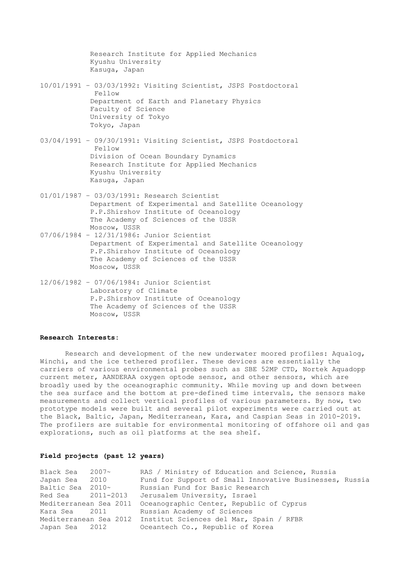Research Institute for Applied Mechanics Kyushu University Kasuga, Japan 10/01/1991 – 03/03/1992: Visiting Scientist, JSPS Postdoctoral Fellow Department of Earth and Planetary Physics Faculty of Science University of Tokyo Tokyo, Japan 03/04/1991 – 09/30/1991: Visiting Scientist, JSPS Postdoctoral Fellow

Division of Ocean Boundary Dynamics Research Institute for Applied Mechanics Kyushu University Kasuga, Japan

- 01/01/1987 03/03/1991: Research Scientist Department of Experimental and Satellite Oceanology P.P.Shirshov Institute of Oceanology The Academy of Sciences of the USSR Moscow, USSR
- 07/06/1984 12/31/1986: Junior Scientist Department of Experimental and Satellite Oceanology P.P.Shirshov Institute of Oceanology The Academy of Sciences of the USSR Moscow, USSR
- 12/06/1982 07/06/1984: Junior Scientist Laboratory of Climate P.P.Shirshov Institute of Oceanology The Academy of Sciences of the USSR Moscow, USSR

# **Research Interests:**

Research and development of the new underwater moored profiles: Aqualog, Winchi, and the ice tethered profiler. These devices are essentially the carriers of various environmental probes such as SBE 52MP CTD, Nortek Aquadopp current meter, AANDERAA oxygen optode sensor, and other sensors, which are broadly used by the oceanographic community. While moving up and down between the sea surface and the bottom at pre-defined time intervals, the sensors make measurements and collect vertical profiles of various parameters. By now, two prototype models were built and several pilot experiments were carried out at the Black, Baltic, Japan, Mediterranean, Kara, and Caspian Seas in 2010-2019. The profilers are suitable for environmental monitoring of offshore oil and gas explorations, such as oil platforms at the sea shelf.

# **Field projects (past 12 years)**

| Black Sea 2007~        |      | RAS / Ministry of Education and Science, Russia                |
|------------------------|------|----------------------------------------------------------------|
| Japan Sea              | 2010 | Fund for Support of Small Innovative Businesses, Russia        |
| Baltic Sea 2010~       |      | Russian Fund for Basic Research                                |
| Red Sea 2011-2013      |      | Jerusalem University, Israel                                   |
| Mediterranean Sea 2011 |      | Oceanographic Center, Republic of Cyprus                       |
| Kara Sea 2011          |      | Russian Academy of Sciences                                    |
|                        |      | Mediterranean Sea 2012 Institut Sciences del Mar, Spain / RFBR |
| Japan Sea 2012         |      | Oceantech Co., Republic of Korea                               |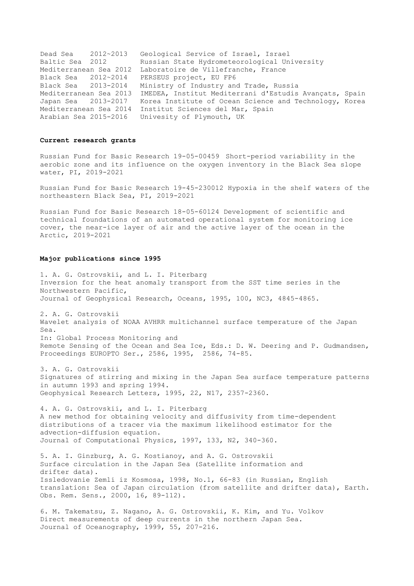Dead Sea 2012~2013 Geological Service of Israel, Israel Baltic Sea 2012 Russian State Hydrometeorological University Mediterranean Sea 2012 Laboratoire de Villefranche, France Black Sea 2012~2014 PERSEUS project, EU FP6 Black Sea 2013-2014 Ministry of Industry and Trade, Russia Mediterranean Sea 2013 IMEDEA, Institut Mediterrani d'Estudis Avançats, Spain Japan Sea 2013-2017 Korea Institute of Ocean Science and Technology, Korea Mediterranean Sea 2014 Institut Sciences del Mar, Spain Arabian Sea 2015-2016 Univesity of Plymouth, UK

# **Current research grants**

Russian Fund for Basic Research 19-05-00459 Short-period variability in the aerobic zone and its influence on the oxygen inventory in the Black Sea slope water, PI, 2019-2021

Russian Fund for Basic Research 19-45-230012 Hypoxia in the shelf waters of the northeastern Black Sea, PI, 2019-2021

Russian Fund for Basic Research 18-05-60124 Development of scientific and technical foundations of an automated operational system for monitoring ice cover, the near-ice layer of air and the active layer of the ocean in the Arctic, 2019-2021

#### **Major publications since 1995**

1. A. G. Ostrovskii, and L. I. Piterbarg Inversion for the heat anomaly transport from the SST time series in the Northwestern Pacific, Journal of Geophysical Research, Oceans, 1995, 100, NC3, 4845-4865.

2. A. G. Ostrovskii Wavelet analysis of NOAA AVHRR multichannel surface temperature of the Japan Sea. In: Global Process Monitoring and Remote Sensing of the Ocean and Sea Ice, Eds.: D. W. Deering and P. Gudmandsen, Proceedings EUROPTO Ser., 2586, 1995, 2586, 74-85.

3. A. G. Ostrovskii Signatures of stirring and mixing in the Japan Sea surface temperature patterns in autumn 1993 and spring 1994. Geophysical Research Letters, 1995, 22, N17, 2357-2360.

4. A. G. Ostrovskii, and L. I. Piterbarg A new method for obtaining velocity and diffusivity from time-dependent distributions of a tracer via the maximum likelihood estimator for the advection-diffusion equation. Journal of Computational Physics, 1997, 133, N2, 340-360.

5. A. I. Ginzburg, A. G. Kostianoy, and A. G. Ostrovskii Surface circulation in the Japan Sea (Satellite information and drifter data). Issledovanie Zemli iz Kosmosa, 1998, No.1, 66-83 (in Russian, English translation: Sea of Japan circulation (from satellite and drifter data), Earth. Obs. Rem. Sens., 2000, 16, 89-112).

6. M. Takematsu, Z. Nagano, A. G. Ostrovskii, K. Kim, and Yu. Volkov Direct measurements of deep currents in the northern Japan Sea. Journal of Oceanography, 1999, 55, 207-216.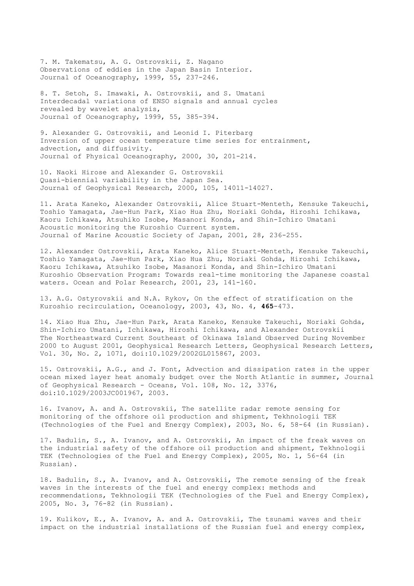7. M. Takematsu, A. G. Ostrovskii, Z. Nagano Observations of eddies in the Japan Basin Interior. Journal of Oceanography, 1999, 55, 237-246.

8. T. Setoh, S. Imawaki, A. Ostrovskii, and S. Umatani Interdecadal variations of ENSO signals and annual cycles revealed by wavelet analysis, Journal of Oceanography, 1999, 55, 385-394.

9. Alexander G. Ostrovskii, and Leonid I. Piterbarg Inversion of upper ocean temperature time series for entrainment, advection, and diffusivity. Journal of Physical Oceanography, 2000, 30, 201-214.

10. Naoki Hirose and Alexander G. Ostrovskii Quasi-biennial variability in the Japan Sea. Journal of Geophysical Research, 2000, 105, 14011-14027.

11. Arata Kaneko, Alexander Ostrovskii, Alice Stuart-Menteth, Kensuke Takeuchi, Toshio Yamagata, Jae-Hun Park, Xiao Hua Zhu, Noriaki Gohda, Hiroshi Ichikawa, Kaoru Ichikawa, Atsuhiko Isobe, Masanori Konda, and Shin-Ichiro Umatani Acoustic monitoring the Kuroshio Current system. Journal of Marine Acoustic Society of Japan, 2001, 28, 236-255.

12. Alexander Ostrovskii, Arata Kaneko, Alice Stuart-Menteth, Kensuke Takeuchi, Toshio Yamagata, Jae-Hun Park, Xiao Hua Zhu, Noriaki Gohda, Hiroshi Ichikawa, Kaoru Ichikawa, Atsuhiko Isobe, Masanori Konda, and Shin-Ichiro Umatani Kuroshio Observation Program: Towards real-time monitoring the Japanese coastal waters. Ocean and Polar Research, 2001, 23, 141-160.

13. A.G. Ostyrovskii and N.A. Rykov, On the effect of stratification on the Kuroshio recirculation, Oceanology, 2003, 43, No. 4, **465**-473.

14. Xiao Hua Zhu, Jae-Hun Park, Arata Kaneko, Kensuke Takeuchi, Noriaki Gohda, Shin-Ichiro Umatani, Ichikawa, Hiroshi Ichikawa, and Alexander Ostrovskii The Northeastward Current Southeast of Okinawa Island Observed During November 2000 to August 2001, Geophysical Research Letters, Geophysical Research Letters, Vol. 30, No. 2, 1071, doi:10.1029/2002GL015867, 2003.

15. Ostrovskii, A.G., and J. Font, Advection and dissipation rates in the upper ocean mixed layer heat anomaly budget over the North Atlantic in summer, Journal of Geophysical Research - Oceans, Vol. 108, No. 12, 3376, doi:10.1029/2003JC001967, 2003.

16. Ivanov, A. and A. Ostrovskii, The satellite radar remote sensing for monitoring of the offshore oil production and shipment, Tekhnologii TEK (Technologies of the Fuel and Energy Complex), 2003, No. 6, 58-64 (in Russian).

17. Badulin, S., A. Ivanov, and A. Ostrovskii, An impact of the freak waves on the industrial safety of the offshore oil production and shipment, Tekhnologii TEK (Technologies of the Fuel and Energy Complex), 2005, No. 1, 56-64 (in Russian).

18. Badulin, S., A. Ivanov, and A. Ostrovskii, The remote sensing of the freak waves in the interests of the fuel and energy complex: methods and recommendations, Tekhnologii TEK (Technologies of the Fuel and Energy Complex), 2005, No. 3, 76-82 (in Russian).

19. Kulikov, E., A. Ivanov, A. and A. Ostrovskii, The tsunami waves and their impact on the industrial installations of the Russian fuel and energy complex,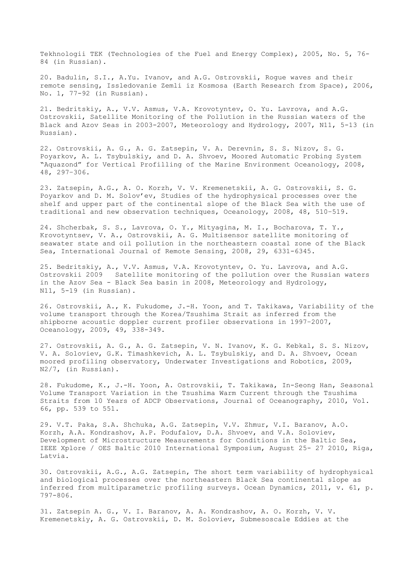Tekhnologii TEK (Technologies of the Fuel and Energy Complex), 2005, No. 5, 76- 84 (in Russian).

20. Badulin, S.I., A.Yu. Ivanov, and A.G. Ostrovskii, Rogue waves and their remote sensing, Issledovanie Zemli iz Kosmosa (Earth Research from Space), 2006, No. 1, 77-92 (in Russian).

21. Bedritskiy, A., V.V. Asmus, V.A. Krovotyntev, O. Yu. Lavrova, and A.G. Ostrovskii, Satellite Monitoring of the Pollution in the Russian waters of the Black and Azov Seas in 2003-2007, Meteorology and Hydrology, 2007, N11, 5-13 (in Russian).

22. Ostrovskii, A. G., A. G. Zatsepin, V. A. Derevnin, S. S. Nizov, S. G. Poyarkov, A. L. Tsybulskiy, and D. A. Shvoev, Moored Automatic Probing System "Aquazond" for Vertical Profilling of the Marine Environment Oceanology, 2008, 48, 297–306.

23. Zatsepin, A.G., A. O. Korzh, V. V. Kremenetskii, A. G. Ostrovskii, S. G. Poyarkov and D. M. Solov'ev, Studies of the hydrophysical processes over the shelf and upper part of the continental slope of the Black Sea with the use of traditional and new observation techniques, Oceanology, 2008, 48, 510–519.

24. Shcherbak, S. S., Lavrova, O. Y., Mityagina, M. I., Bocharova, T. Y., Krovotyntsev, V. A., Ostrovskii, A. G. Multisensor satellite monitoring of seawater state and oil pollution in the northeastern coastal zone of the Black Sea, International Journal of Remote Sensing, 2008, 29, 6331-6345.

25. Bedritskiy, A., V.V. Asmus, V.A. Krovotyntev, O. Yu. Lavrova, and A.G. Ostrovskii 2009 Satellite monitoring of the pollution over the Russian waters in the Azov Sea - Black Sea basin in 2008, Meteorology and Hydrology, N11, 5-19 (in Russian).

26. Ostrovskii, A., K. Fukudome, J.-H. Yoon, and T. Takikawa, Variability of the volume transport through the Korea/Tsushima Strait as inferred from the shipborne acoustic doppler current profiler observations in 1997–2007, Oceanology, 2009, 49, 338-349.

27. Ostrovskii, A. G., A. G. Zatsepin, V. N. Ivanov, K. G. Kebkal, S. S. Nizov, V. A. Soloviev, G.K. Timashkevich, A. L. Tsybulskiy, and D. A. Shvoev, Ocean moored profiling observatory, Underwater Investigations and Robotics, 2009, N2/7, (in Russian).

28. Fukudome, K., J.-H. Yoon, A. Ostrovskii, T. Takikawa, In-Seong Han, Seasonal Volume Transport Variation in the Tsushima Warm Current through the Tsushima Straits from 10 Years of ADCP Observations, Journal of Oceanography, 2010, Vol. 66, pp. 539 to 551.

29. V.T. Paka, S.A. Shchuka, A.G. Zatsepin, V.V. Zhmur, V.I. Baranov, A.O. Korzh, A.A. Kondrashov, A.P. Podufalov, D.A. Shvoev, and V.A. Soloviev, Development of Microstructure Measurements for Conditions in the Baltic Sea, IEEE Xplore / OES Baltic 2010 International Symposium, August 25- 27 2010, Riga, Latvia.

30. Ostrovskii, A.G., A.G. Zatsepin, The short term variability of hydrophysical and biological processes over the northeastern Black Sea continental slope as inferred from multiparametric profiling surveys. Ocean Dynamics, 2011, v. 61, p. 797-806.

31. Zatsepin A. G., V. I. Baranov, A. A. Kondrashov, A. O. Korzh, V. V. Kremenetskiy, A. G. Ostrovskii, D. M. Soloviev, Submesoscale Eddies at the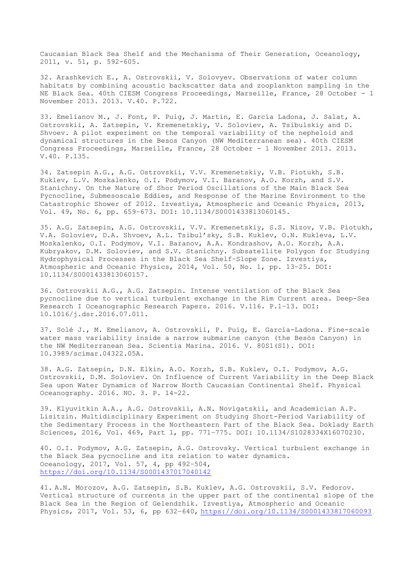Caucasian Black Sea Shelf and the Mechanisms of Their Generation, Oceanology, 2011, v. 51, p. 592-605.

32. Arashkevich E., A. Ostrovskii, V. Solovyev. Observations of water column habitats by combining acoustic backscatter data and zooplankton sampling in the NE Black Sea. 40th CIESM Congress Proceedings, Marseille, France, 28 October - 1 November 2013. 2013. V.40. P.722.

33. Emelianov M., J. Font, P. Puig, J. Martín, E. García Ladona, J. Salat, A. Ostrovskii, A. Zatsepin, V. Kremenetskiy, V. Soloviev, A. Tsibulskiy and D. Shvoev. A pilot experiment on the temporal variability of the nepheloid and dynamical structures in the Besos Canyon (NW Mediterranean sea). 40th CIESM Congress Proceedings, Marseille, France, 28 October - 1 November 2013. 2013. V.40. P.135.

34. Zatsepin A.G., A.G. Ostrovskii, V.V. Kremenetskiy, V.B. Piotukh, S.B. Kuklev, L.V. Moskalenko, O.I. Podymov, V.I. Baranov, A.O. Korzh, and S.V. Stanichny. On the Nature of Shor Period Oscillations of the Main Black Sea Pycnocline, Submesoscale Eddies, and Response of the Marine Environment to the Catastrophic Shower of 2012. Izvestiya, Atmospheric and Oceanic Physics, 2013, Vol. 49, No. 6, pp. 659–673. DOI: 10.1134/S0001433813060145.

35. A.G. Zatsepin, A.G. Ostrovskii, V.V. Kremenetskiy, S.S. Nizov, V.B. Piotukh, V.A. Soloviev, D.A. Shvoev, A.L. Tsibul'sky, S.B. Kuklev, O.N. Kukleva, L.V. Moskalenko, O.I. Podymov, V.I. Baranov, A.A. Kondrashov, A.O. Korzh, A.A. Kubryakov, D.M. Soloviev, and S.V. Stanichny. Subsatellite Polygon for Studying Hydrophysical Processes in the Black Sea Shelf–Slope Zone. Izvestiya, Atmospheric and Oceanic Physics, 2014, Vol. 50, No. 1, pp. 13–25. DOI: 10.1134/S0001433813060157.

36. Ostrovskii A.G., A.G. Zatsepin. Intense ventilation of the Black Sea pycnocline due to vertical turbulent exchange in the Rim Current area. Deep-Sea Research I Oceanographic Research Papers. 2016. V.116. P.1–13. DOI: 10.1016/j.dsr.2016.07.011.

37. Solé J., M. Emelianov, A. Ostrovskii, P. Puig, E. García-Ladona. Fine-scale water mass variability inside a narrow submarine canyon (the Besòs Canyon) in the NW Mediterranean Sea. Scientia Marina. 2016. V. 80S1(S1). DOI: 10.3989/scimar.04322.05A.

38. A.G. Zatsepin, D.N. Elkin, A.O. Korzh, S.B. Kuklev, O.I. Podymov, A.G. Ostrovskii, D.M. Soloviev. On Influence of Current Variability in the Deep Black Sea upon Water Dynamics of Narrow North Caucasian Continental Shelf. Physical Oceanography. 2016. NO. 3. P. 14-22.

39. Klyuvitkin A.A., A.G. Ostrovskii, A.N. Novigatskii, and Academician A.P. Lisitzin. Multidisciplinary Experiment on Studying Short-Period Variability of the Sedimentary Process in the Northeastern Part of the Black Sea. Doklady Earth Sciences, 2016, Vol. 469, Part 1, pp. 771–775. DOI: 10.1134/S1028334X16070230.

40. O.I. Podymov, A.G. Zatsepin, A.G. Ostrovsky. Vertical turbulent exchange in the Black Sea pycnocline and its relation to water dynamics. Oceanology, 2017, Vol. 57, 4, pp 492–504, <https://doi.org/10.1134/S0001437017040142>

41. A.N. Morozov, A.G. Zatsepin, S.B. Kuklev, A.G. Ostrovskii, S.V. Fedorov. Vertical structure of currents in the upper part of the continental slope of the Black Sea in the Region of Gelendzhik. Izvestiya, Atmospheric and Oceanic Physics, 2017, Vol. 53, 6, pp 632–640, <https://doi.org/10.1134/S0001433817060093>